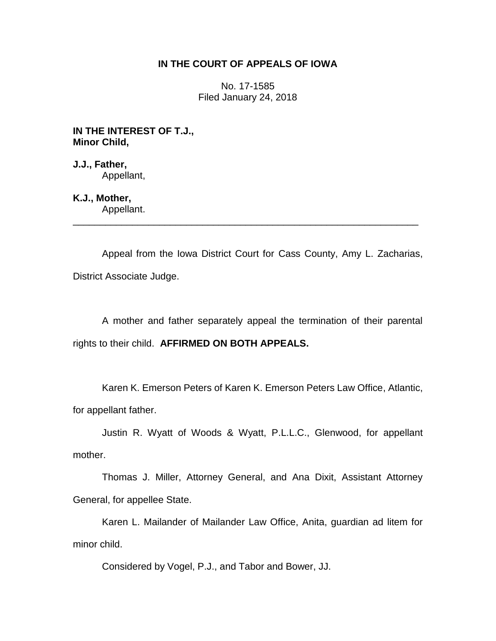# **IN THE COURT OF APPEALS OF IOWA**

No. 17-1585 Filed January 24, 2018

**IN THE INTEREST OF T.J., Minor Child,**

**J.J., Father,** Appellant,

**K.J., Mother,**

Appellant. \_\_\_\_\_\_\_\_\_\_\_\_\_\_\_\_\_\_\_\_\_\_\_\_\_\_\_\_\_\_\_\_\_\_\_\_\_\_\_\_\_\_\_\_\_\_\_\_\_\_\_\_\_\_\_\_\_\_\_\_\_\_\_\_

Appeal from the Iowa District Court for Cass County, Amy L. Zacharias, District Associate Judge.

A mother and father separately appeal the termination of their parental rights to their child. **AFFIRMED ON BOTH APPEALS.**

Karen K. Emerson Peters of Karen K. Emerson Peters Law Office, Atlantic, for appellant father.

Justin R. Wyatt of Woods & Wyatt, P.L.L.C., Glenwood, for appellant mother.

Thomas J. Miller, Attorney General, and Ana Dixit, Assistant Attorney General, for appellee State.

Karen L. Mailander of Mailander Law Office, Anita, guardian ad litem for minor child.

Considered by Vogel, P.J., and Tabor and Bower, JJ.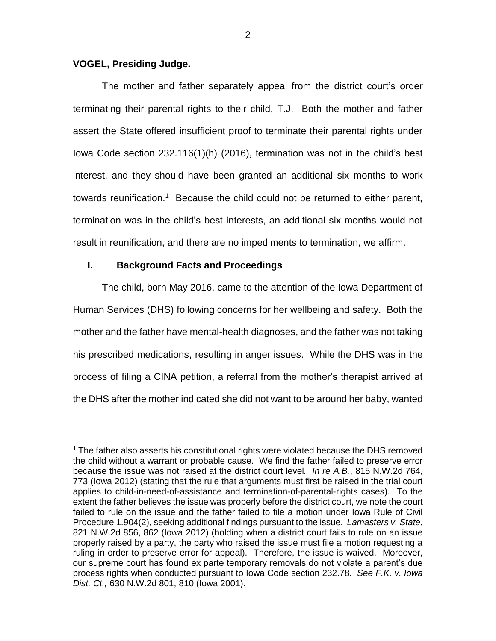### **VOGEL, Presiding Judge.**

 $\overline{a}$ 

The mother and father separately appeal from the district court's order terminating their parental rights to their child, T.J. Both the mother and father assert the State offered insufficient proof to terminate their parental rights under Iowa Code section 232.116(1)(h) (2016), termination was not in the child's best interest, and they should have been granted an additional six months to work towards reunification.<sup>1</sup> Because the child could not be returned to either parent, termination was in the child's best interests, an additional six months would not result in reunification, and there are no impediments to termination, we affirm.

# **I. Background Facts and Proceedings**

The child, born May 2016, came to the attention of the Iowa Department of Human Services (DHS) following concerns for her wellbeing and safety. Both the mother and the father have mental-health diagnoses, and the father was not taking his prescribed medications, resulting in anger issues. While the DHS was in the process of filing a CINA petition, a referral from the mother's therapist arrived at the DHS after the mother indicated she did not want to be around her baby, wanted

<sup>&</sup>lt;sup>1</sup> The father also asserts his constitutional rights were violated because the DHS removed the child without a warrant or probable cause. We find the father failed to preserve error because the issue was not raised at the district court level*. In re A.B.*, 815 N.W.2d 764, 773 (Iowa 2012) (stating that the rule that arguments must first be raised in the trial court applies to child-in-need-of-assistance and termination-of-parental-rights cases). To the extent the father believes the issue was properly before the district court, we note the court failed to rule on the issue and the father failed to file a motion under Iowa Rule of Civil Procedure 1.904(2), seeking additional findings pursuant to the issue. *Lamasters v. State*, 821 N.W.2d 856, 862 (Iowa 2012) (holding when a district court fails to rule on an issue properly raised by a party, the party who raised the issue must file a motion requesting a ruling in order to preserve error for appeal). Therefore, the issue is waived. Moreover, our supreme court has found ex parte temporary removals do not violate a parent's due process rights when conducted pursuant to Iowa Code section 232.78. *See F.K. v. Iowa Dist. Ct.,* 630 N.W.2d 801, 810 (Iowa 2001).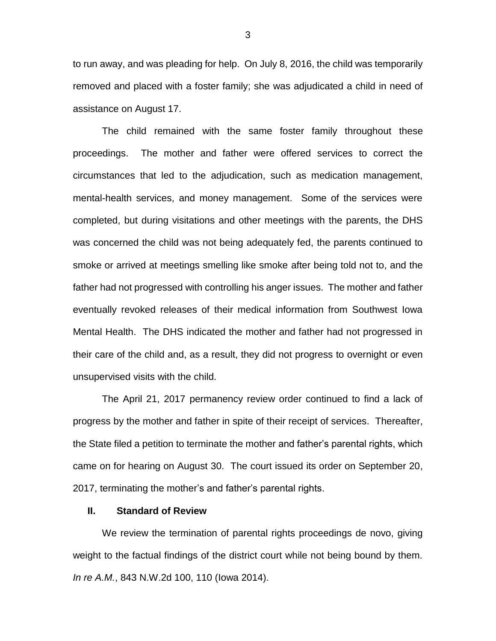to run away, and was pleading for help. On July 8, 2016, the child was temporarily removed and placed with a foster family; she was adjudicated a child in need of assistance on August 17.

The child remained with the same foster family throughout these proceedings. The mother and father were offered services to correct the circumstances that led to the adjudication, such as medication management, mental-health services, and money management. Some of the services were completed, but during visitations and other meetings with the parents, the DHS was concerned the child was not being adequately fed, the parents continued to smoke or arrived at meetings smelling like smoke after being told not to, and the father had not progressed with controlling his anger issues. The mother and father eventually revoked releases of their medical information from Southwest Iowa Mental Health. The DHS indicated the mother and father had not progressed in their care of the child and, as a result, they did not progress to overnight or even unsupervised visits with the child.

The April 21, 2017 permanency review order continued to find a lack of progress by the mother and father in spite of their receipt of services. Thereafter, the State filed a petition to terminate the mother and father's parental rights, which came on for hearing on August 30. The court issued its order on September 20, 2017, terminating the mother's and father's parental rights.

#### **II. Standard of Review**

We review the termination of parental rights proceedings de novo, giving weight to the factual findings of the district court while not being bound by them. *In re A.M.*, 843 N.W.2d 100, 110 (Iowa 2014).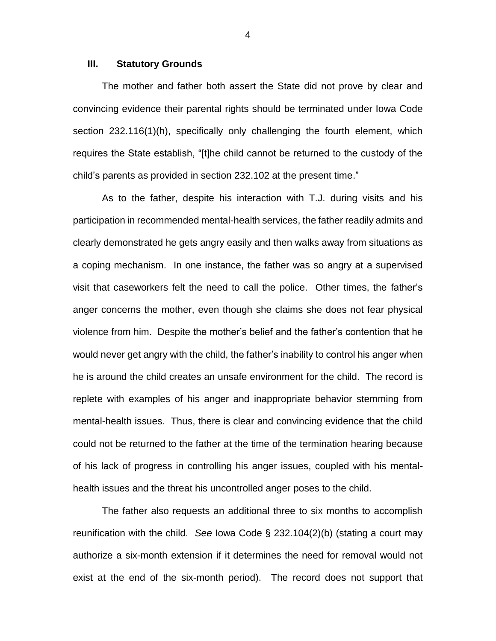#### **III. Statutory Grounds**

The mother and father both assert the State did not prove by clear and convincing evidence their parental rights should be terminated under Iowa Code section 232.116(1)(h), specifically only challenging the fourth element, which requires the State establish, "[t]he child cannot be returned to the custody of the child's parents as provided in section 232.102 at the present time."

As to the father, despite his interaction with T.J. during visits and his participation in recommended mental-health services, the father readily admits and clearly demonstrated he gets angry easily and then walks away from situations as a coping mechanism. In one instance, the father was so angry at a supervised visit that caseworkers felt the need to call the police. Other times, the father's anger concerns the mother, even though she claims she does not fear physical violence from him. Despite the mother's belief and the father's contention that he would never get angry with the child, the father's inability to control his anger when he is around the child creates an unsafe environment for the child. The record is replete with examples of his anger and inappropriate behavior stemming from mental-health issues. Thus, there is clear and convincing evidence that the child could not be returned to the father at the time of the termination hearing because of his lack of progress in controlling his anger issues, coupled with his mentalhealth issues and the threat his uncontrolled anger poses to the child.

The father also requests an additional three to six months to accomplish reunification with the child. *See* Iowa Code § 232.104(2)(b) (stating a court may authorize a six-month extension if it determines the need for removal would not exist at the end of the six-month period). The record does not support that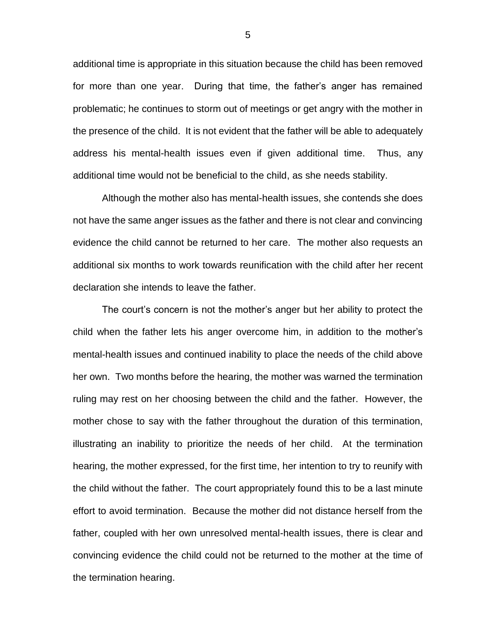additional time is appropriate in this situation because the child has been removed for more than one year. During that time, the father's anger has remained problematic; he continues to storm out of meetings or get angry with the mother in the presence of the child. It is not evident that the father will be able to adequately address his mental-health issues even if given additional time. Thus, any additional time would not be beneficial to the child, as she needs stability.

Although the mother also has mental-health issues, she contends she does not have the same anger issues as the father and there is not clear and convincing evidence the child cannot be returned to her care. The mother also requests an additional six months to work towards reunification with the child after her recent declaration she intends to leave the father.

The court's concern is not the mother's anger but her ability to protect the child when the father lets his anger overcome him, in addition to the mother's mental-health issues and continued inability to place the needs of the child above her own. Two months before the hearing, the mother was warned the termination ruling may rest on her choosing between the child and the father. However, the mother chose to say with the father throughout the duration of this termination, illustrating an inability to prioritize the needs of her child. At the termination hearing, the mother expressed, for the first time, her intention to try to reunify with the child without the father. The court appropriately found this to be a last minute effort to avoid termination. Because the mother did not distance herself from the father, coupled with her own unresolved mental-health issues, there is clear and convincing evidence the child could not be returned to the mother at the time of the termination hearing.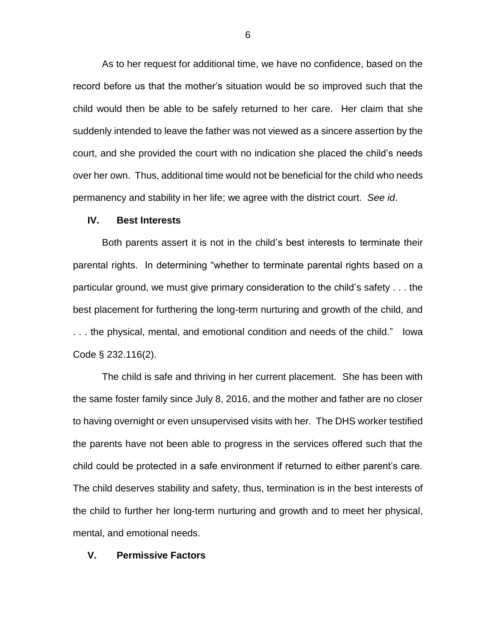As to her request for additional time, we have no confidence, based on the record before us that the mother's situation would be so improved such that the child would then be able to be safely returned to her care. Her claim that she suddenly intended to leave the father was not viewed as a sincere assertion by the court, and she provided the court with no indication she placed the child's needs over her own. Thus, additional time would not be beneficial for the child who needs permanency and stability in her life; we agree with the district court. *See id*.

#### **IV. Best Interests**

Both parents assert it is not in the child's best interests to terminate their parental rights. In determining "whether to terminate parental rights based on a particular ground, we must give primary consideration to the child's safety . . . the best placement for furthering the long-term nurturing and growth of the child, and . . . the physical, mental, and emotional condition and needs of the child." Iowa Code § 232.116(2).

The child is safe and thriving in her current placement. She has been with the same foster family since July 8, 2016, and the mother and father are no closer to having overnight or even unsupervised visits with her. The DHS worker testified the parents have not been able to progress in the services offered such that the child could be protected in a safe environment if returned to either parent's care. The child deserves stability and safety, thus, termination is in the best interests of the child to further her long-term nurturing and growth and to meet her physical, mental, and emotional needs.

## **V. Permissive Factors**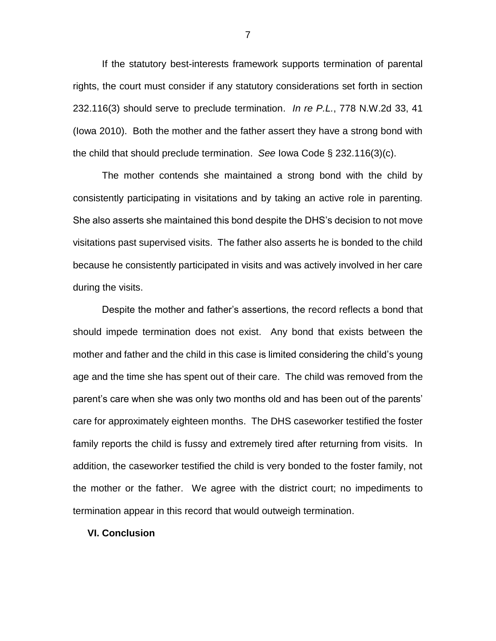If the statutory best-interests framework supports termination of parental rights, the court must consider if any statutory considerations set forth in section 232.116(3) should serve to preclude termination. *In re P.L.*, 778 N.W.2d 33, 41 (Iowa 2010). Both the mother and the father assert they have a strong bond with the child that should preclude termination. *See* Iowa Code § 232.116(3)(c).

The mother contends she maintained a strong bond with the child by consistently participating in visitations and by taking an active role in parenting. She also asserts she maintained this bond despite the DHS's decision to not move visitations past supervised visits. The father also asserts he is bonded to the child because he consistently participated in visits and was actively involved in her care during the visits.

Despite the mother and father's assertions, the record reflects a bond that should impede termination does not exist. Any bond that exists between the mother and father and the child in this case is limited considering the child's young age and the time she has spent out of their care. The child was removed from the parent's care when she was only two months old and has been out of the parents' care for approximately eighteen months. The DHS caseworker testified the foster family reports the child is fussy and extremely tired after returning from visits. In addition, the caseworker testified the child is very bonded to the foster family, not the mother or the father. We agree with the district court; no impediments to termination appear in this record that would outweigh termination.

#### **VI. Conclusion**